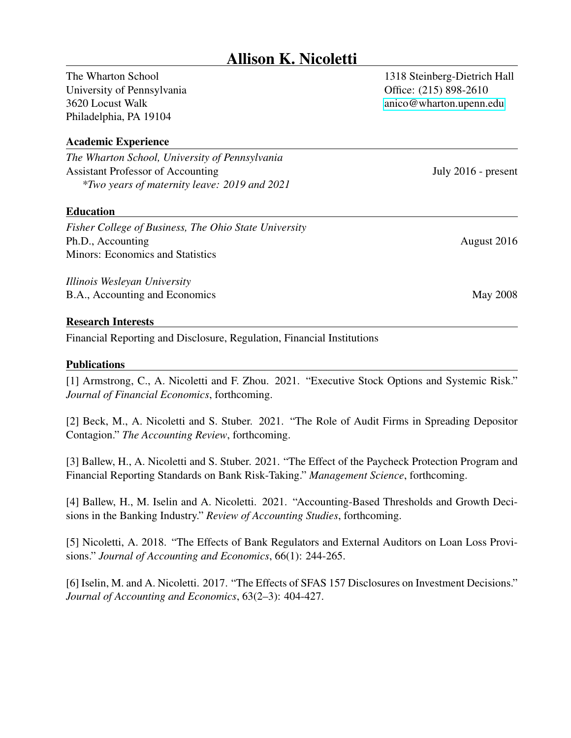# Allison K. Nicoletti

The Wharton School University of Pennsylvania 3620 Locust Walk Philadelphia, PA 19104

# Academic Experience

*The Wharton School, University of Pennsylvania* Assistant Professor of Accounting July 2016 - present *\*Two years of maternity leave: 2019 and 2021*

## Education

*Fisher College of Business, The Ohio State University* Ph.D., Accounting August 2016 Minors: Economics and Statistics

*Illinois Wesleyan University* B.A., Accounting and Economics May 2008

## Research Interests

Financial Reporting and Disclosure, Regulation, Financial Institutions

## Publications

[1] Armstrong, C., A. Nicoletti and F. Zhou. 2021. "Executive Stock Options and Systemic Risk." *Journal of Financial Economics*, forthcoming.

[2] Beck, M., A. Nicoletti and S. Stuber. 2021. "The Role of Audit Firms in Spreading Depositor Contagion." *The Accounting Review*, forthcoming.

[3] Ballew, H., A. Nicoletti and S. Stuber. 2021. "The Effect of the Paycheck Protection Program and Financial Reporting Standards on Bank Risk-Taking." *Management Science*, forthcoming.

[4] Ballew, H., M. Iselin and A. Nicoletti. 2021. "Accounting-Based Thresholds and Growth Decisions in the Banking Industry." *Review of Accounting Studies*, forthcoming.

[5] Nicoletti, A. 2018. "The Effects of Bank Regulators and External Auditors on Loan Loss Provisions." *Journal of Accounting and Economics*, 66(1): 244-265.

[6] Iselin, M. and A. Nicoletti. 2017. "The Effects of SFAS 157 Disclosures on Investment Decisions." *Journal of Accounting and Economics*, 63(2–3): 404-427.

1318 Steinberg-Dietrich Hall Office: (215) 898-2610 [anico@wharton.upenn.edu](mailto:anico@wharton.upenn.edu)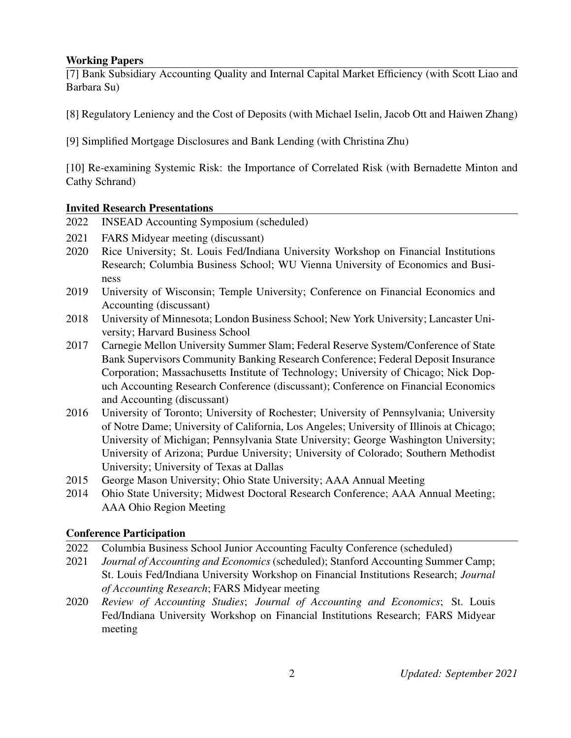# Working Papers

[7] Bank Subsidiary Accounting Quality and Internal Capital Market Efficiency (with Scott Liao and Barbara Su)

- [8] Regulatory Leniency and the Cost of Deposits (with Michael Iselin, Jacob Ott and Haiwen Zhang)
- [9] Simplified Mortgage Disclosures and Bank Lending (with Christina Zhu)

[10] Re-examining Systemic Risk: the Importance of Correlated Risk (with Bernadette Minton and Cathy Schrand)

# Invited Research Presentations

- 2022 INSEAD Accounting Symposium (scheduled)
- 2021 FARS Midyear meeting (discussant)
- 2020 Rice University; St. Louis Fed/Indiana University Workshop on Financial Institutions Research; Columbia Business School; WU Vienna University of Economics and Business
- 2019 University of Wisconsin; Temple University; Conference on Financial Economics and Accounting (discussant)
- 2018 University of Minnesota; London Business School; New York University; Lancaster University; Harvard Business School
- 2017 Carnegie Mellon University Summer Slam; Federal Reserve System/Conference of State Bank Supervisors Community Banking Research Conference; Federal Deposit Insurance Corporation; Massachusetts Institute of Technology; University of Chicago; Nick Dopuch Accounting Research Conference (discussant); Conference on Financial Economics and Accounting (discussant)
- 2016 University of Toronto; University of Rochester; University of Pennsylvania; University of Notre Dame; University of California, Los Angeles; University of Illinois at Chicago; University of Michigan; Pennsylvania State University; George Washington University; University of Arizona; Purdue University; University of Colorado; Southern Methodist University; University of Texas at Dallas
- 2015 George Mason University; Ohio State University; AAA Annual Meeting
- 2014 Ohio State University; Midwest Doctoral Research Conference; AAA Annual Meeting; AAA Ohio Region Meeting

# Conference Participation

- 2022 Columbia Business School Junior Accounting Faculty Conference (scheduled)
- 2021 *Journal of Accounting and Economics* (scheduled); Stanford Accounting Summer Camp; St. Louis Fed/Indiana University Workshop on Financial Institutions Research; *Journal of Accounting Research*; FARS Midyear meeting
- 2020 *Review of Accounting Studies*; *Journal of Accounting and Economics*; St. Louis Fed/Indiana University Workshop on Financial Institutions Research; FARS Midyear meeting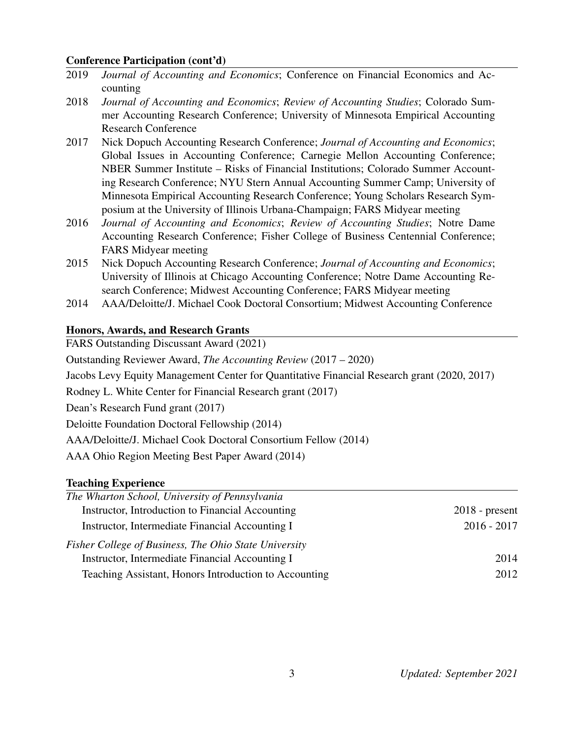## Conference Participation (cont'd)

- 2019 *Journal of Accounting and Economics*; Conference on Financial Economics and Accounting
- 2018 *Journal of Accounting and Economics*; *Review of Accounting Studies*; Colorado Summer Accounting Research Conference; University of Minnesota Empirical Accounting Research Conference
- 2017 Nick Dopuch Accounting Research Conference; *Journal of Accounting and Economics*; Global Issues in Accounting Conference; Carnegie Mellon Accounting Conference; NBER Summer Institute – Risks of Financial Institutions; Colorado Summer Accounting Research Conference; NYU Stern Annual Accounting Summer Camp; University of Minnesota Empirical Accounting Research Conference; Young Scholars Research Symposium at the University of Illinois Urbana-Champaign; FARS Midyear meeting
- 2016 *Journal of Accounting and Economics*; *Review of Accounting Studies*; Notre Dame Accounting Research Conference; Fisher College of Business Centennial Conference; FARS Midyear meeting
- 2015 Nick Dopuch Accounting Research Conference; *Journal of Accounting and Economics*; University of Illinois at Chicago Accounting Conference; Notre Dame Accounting Research Conference; Midwest Accounting Conference; FARS Midyear meeting
- 2014 AAA/Deloitte/J. Michael Cook Doctoral Consortium; Midwest Accounting Conference

## Honors, Awards, and Research Grants

FARS Outstanding Discussant Award (2021)

Outstanding Reviewer Award, *The Accounting Review* (2017 – 2020)

Jacobs Levy Equity Management Center for Quantitative Financial Research grant (2020, 2017)

Rodney L. White Center for Financial Research grant (2017)

Dean's Research Fund grant (2017)

Deloitte Foundation Doctoral Fellowship (2014)

AAA/Deloitte/J. Michael Cook Doctoral Consortium Fellow (2014)

AAA Ohio Region Meeting Best Paper Award (2014)

## Teaching Experience

| The Wharton School, University of Pennsylvania        |                  |
|-------------------------------------------------------|------------------|
| Instructor, Introduction to Financial Accounting      | $2018$ - present |
| Instructor, Intermediate Financial Accounting I       | $2016 - 2017$    |
| Fisher College of Business, The Ohio State University |                  |
| Instructor, Intermediate Financial Accounting I       | 2014             |
| Teaching Assistant, Honors Introduction to Accounting | 2012             |